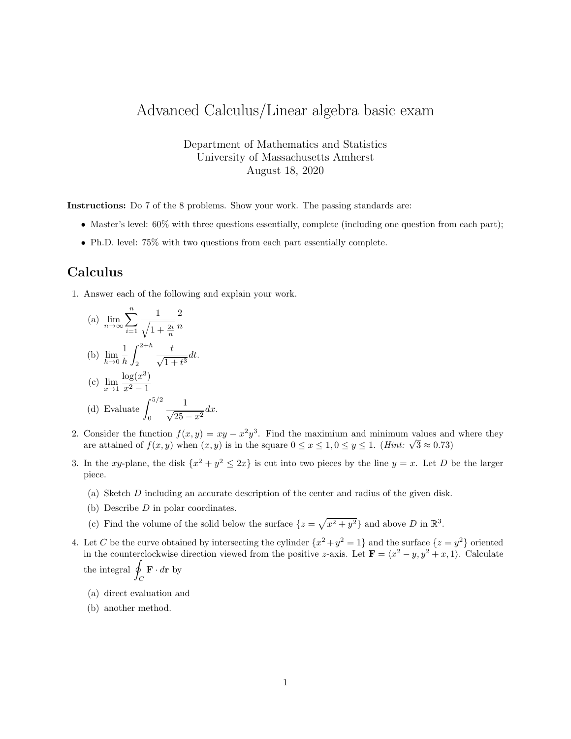## Advanced Calculus/Linear algebra basic exam

Department of Mathematics and Statistics University of Massachusetts Amherst August 18, 2020

Instructions: Do 7 of the 8 problems. Show your work. The passing standards are:

- Master's level:  $60\%$  with three questions essentially, complete (including one question from each part);
- Ph.D. level: 75% with two questions from each part essentially complete.

## Calculus

1. Answer each of the following and explain your work.

(a) 
$$
\lim_{n \to \infty} \sum_{i=1}^{n} \frac{1}{\sqrt{1 + \frac{2i}{n}}} \frac{2}{n}
$$
  
\n(b)  $\lim_{h \to 0} \frac{1}{h} \int_{2}^{2+h} \frac{t}{\sqrt{1 + t^3}} dt$ .  
\n(c)  $\lim_{x \to 1} \frac{\log(x^3)}{x^2 - 1}$   
\n(d) Evaluate  $\int_{0}^{5/2} \frac{1}{\sqrt{25 - x^2}} dx$ .

- 2. Consider the function  $f(x, y) = xy x^2y^3$ . Find the maximium and minimum values and where they Consider the function  $f(x, y) = xy - x-y^2$ . Find the maximum and minimum values and are attained of  $f(x, y)$  when  $(x, y)$  is in the square  $0 \le x \le 1, 0 \le y \le 1$ . (*Hint:*  $\sqrt{3} \approx 0.73$ )
- 3. In the xy-plane, the disk  $\{x^2 + y^2 \leq 2x\}$  is cut into two pieces by the line  $y = x$ . Let D be the larger piece.
	- (a) Sketch D including an accurate description of the center and radius of the given disk.
	- (b) Describe D in polar coordinates.
	- (c) Find the volume of the solid below the surface  $\{z = \sqrt{x^2 + y^2}\}\$  and above D in  $\mathbb{R}^3$ .
- 4. Let C be the curve obtained by intersecting the cylinder  $\{x^2 + y^2 = 1\}$  and the surface  $\{z = y^2\}$  oriented in the counterclockwise direction viewed from the positive z-axis. Let  $\mathbf{F} = \langle x^2 - y, y^2 + x, 1 \rangle$ . Calculate the integral  $\beta$

the integral 
$$
\oint_C \mathbf{F} \cdot d\mathbf{r}
$$
 by

- (a) direct evaluation and
- (b) another method.